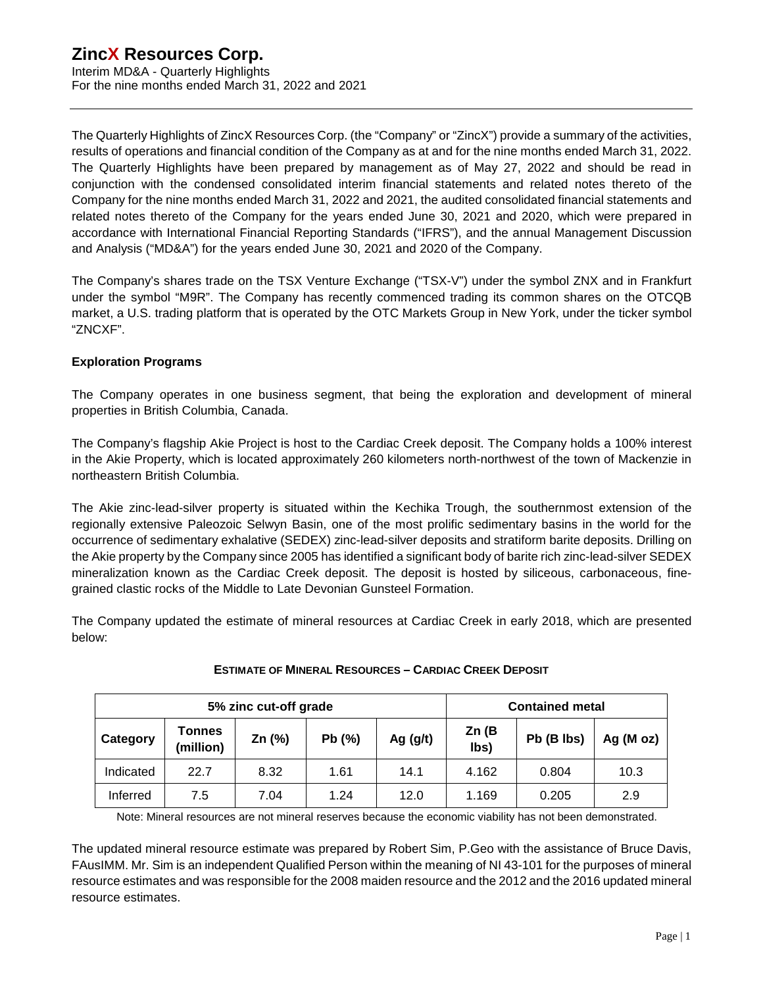The Quarterly Highlights of ZincX Resources Corp. (the "Company" or "ZincX") provide a summary of the activities, results of operations and financial condition of the Company as at and for the nine months ended March 31, 2022. The Quarterly Highlights have been prepared by management as of May 27, 2022 and should be read in conjunction with the condensed consolidated interim financial statements and related notes thereto of the Company for the nine months ended March 31, 2022 and 2021, the audited consolidated financial statements and related notes thereto of the Company for the years ended June 30, 2021 and 2020, which were prepared in accordance with International Financial Reporting Standards ("IFRS"), and the annual Management Discussion and Analysis ("MD&A") for the years ended June 30, 2021 and 2020 of the Company.

The Company's shares trade on the TSX Venture Exchange ("TSX-V") under the symbol ZNX and in Frankfurt under the symbol "M9R". The Company has recently commenced trading its common shares on the OTCQB market, a U.S. trading platform that is operated by the OTC Markets Group in New York, under the ticker symbol "ZNCXF".

## **Exploration Programs**

The Company operates in one business segment, that being the exploration and development of mineral properties in British Columbia, Canada.

The Company's flagship Akie Project is host to the Cardiac Creek deposit. The Company holds a 100% interest in the Akie Property, which is located approximately 260 kilometers north-northwest of the town of Mackenzie in northeastern British Columbia.

The Akie zinc-lead-silver property is situated within the Kechika Trough, the southernmost extension of the regionally extensive Paleozoic Selwyn Basin, one of the most prolific sedimentary basins in the world for the occurrence of sedimentary exhalative (SEDEX) zinc-lead-silver deposits and stratiform barite deposits. Drilling on the Akie property by the Company since 2005 has identified a significant body of barite rich zinc-lead-silver SEDEX mineralization known as the Cardiac Creek deposit. The deposit is hosted by siliceous, carbonaceous, finegrained clastic rocks of the Middle to Late Devonian Gunsteel Formation.

The Company updated the estimate of mineral resources at Cardiac Creek in early 2018, which are presented below:

| 5% zinc cut-off grade |                            |          |       |            | <b>Contained metal</b> |            |              |  |
|-----------------------|----------------------------|----------|-------|------------|------------------------|------------|--------------|--|
| Category              | <b>Tonnes</b><br>(million) | Zn $(%)$ | Pb(%) | Ag $(g/t)$ | Zn(B)<br>lbs)          | Pb (B lbs) | Ag ( $M$ oz) |  |
| Indicated             | 22.7                       | 8.32     | 1.61  | 14.1       | 4.162                  | 0.804      | 10.3         |  |
| Inferred              | 7.5                        | 7.04     | 1.24  | 12.0       | 1.169                  | 0.205      | 2.9          |  |

### **ESTIMATE OF MINERAL RESOURCES – CARDIAC CREEK DEPOSIT**

Note: Mineral resources are not mineral reserves because the economic viability has not been demonstrated.

The updated mineral resource estimate was prepared by Robert Sim, P.Geo with the assistance of Bruce Davis, FAusIMM. Mr. Sim is an independent Qualified Person within the meaning of NI 43-101 for the purposes of mineral resource estimates and was responsible for the 2008 maiden resource and the 2012 and the 2016 updated mineral resource estimates.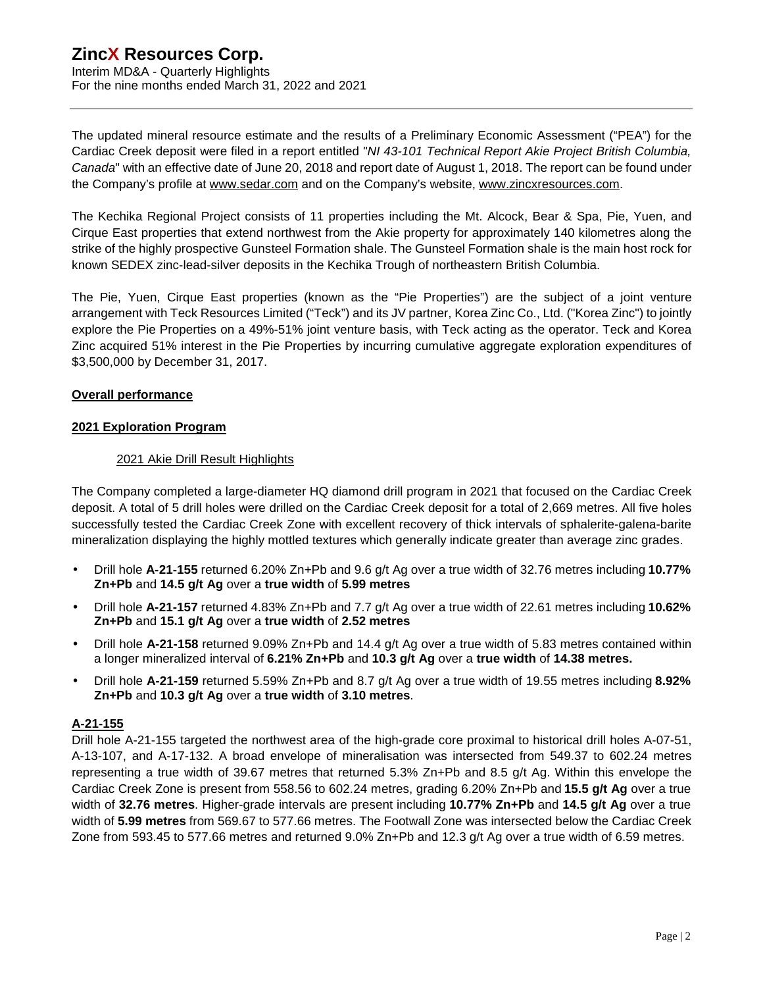The updated mineral resource estimate and the results of a Preliminary Economic Assessment ("PEA") for the Cardiac Creek deposit were filed in a report entitled "*NI 43-101 Technical Report Akie Project British Columbia, Canada*" with an effective date of June 20, 2018 and report date of August 1, 2018. The report can be found under the Company's profile at [www.sedar.com](http://www.sedar.com) and on the Company's website, [www.zincxresources.com](http://www.zincxresources.com).

The Kechika Regional Project consists of 11 properties including the Mt. Alcock, Bear & Spa, Pie, Yuen, and Cirque East properties that extend northwest from the Akie property for approximately 140 kilometres along the strike of the highly prospective Gunsteel Formation shale. The Gunsteel Formation shale is the main host rock for known SEDEX zinc-lead-silver deposits in the Kechika Trough of northeastern British Columbia.

The Pie, Yuen, Cirque East properties (known as the "Pie Properties") are the subject of a joint venture arrangement with Teck Resources Limited ("Teck") and its JV partner, Korea Zinc Co., Ltd. ("Korea Zinc") to jointly explore the Pie Properties on a 49%-51% joint venture basis, with Teck acting as the operator. Teck and Korea Zinc acquired 51% interest in the Pie Properties by incurring cumulative aggregate exploration expenditures of \$3,500,000 by December 31, 2017.

## **Overall performance**

### **2021 Exploration Program**

## 2021 Akie Drill Result Highlights

The Company completed a large-diameter HQ diamond drill program in 2021 that focused on the Cardiac Creek deposit. A total of 5 drill holes were drilled on the Cardiac Creek deposit for a total of 2,669 metres. All five holes successfully tested the Cardiac Creek Zone with excellent recovery of thick intervals of sphalerite-galena-barite mineralization displaying the highly mottled textures which generally indicate greater than average zinc grades.

- Drill hole **A-21-155** returned 6.20% Zn+Pb and 9.6 g/t Ag over a true width of 32.76 metres including **10.77% Zn+Pb** and **14.5 g/t Ag** over a **true width** of **5.99 metres**
- Drill hole **A-21-157** returned 4.83% Zn+Pb and 7.7 g/t Ag over a true width of 22.61 metres including **10.62% Zn+Pb** and **15.1 g/t Ag** over a **true width** of **2.52 metres**
- Drill hole **A-21-158** returned 9.09% Zn+Pb and 14.4 g/t Ag over a true width of 5.83 metres contained within a longer mineralized interval of **6.21% Zn+Pb** and **10.3 g/t Ag** over a **true width** of **14.38 metres.**
- Drill hole **A-21-159** returned 5.59% Zn+Pb and 8.7 g/t Ag over a true width of 19.55 metres including **8.92% Zn+Pb** and **10.3 g/t Ag** over a **true width** of **3.10 metres**.

## **A-21-155**

Drill hole A-21-155 targeted the northwest area of the high-grade core proximal to historical drill holes A-07-51, A-13-107, and A-17-132. A broad envelope of mineralisation was intersected from 549.37 to 602.24 metres representing a true width of 39.67 metres that returned 5.3% Zn+Pb and 8.5 g/t Ag. Within this envelope the Cardiac Creek Zone is present from 558.56 to 602.24 metres, grading 6.20% Zn+Pb and **15.5 g/t Ag** over a true width of **32.76 metres**. Higher-grade intervals are present including **10.77% Zn+Pb** and **14.5 g/t Ag** over a true width of **5.99 metres** from 569.67 to 577.66 metres. The Footwall Zone was intersected below the Cardiac Creek Zone from 593.45 to 577.66 metres and returned 9.0% Zn+Pb and 12.3 g/t Ag over a true width of 6.59 metres.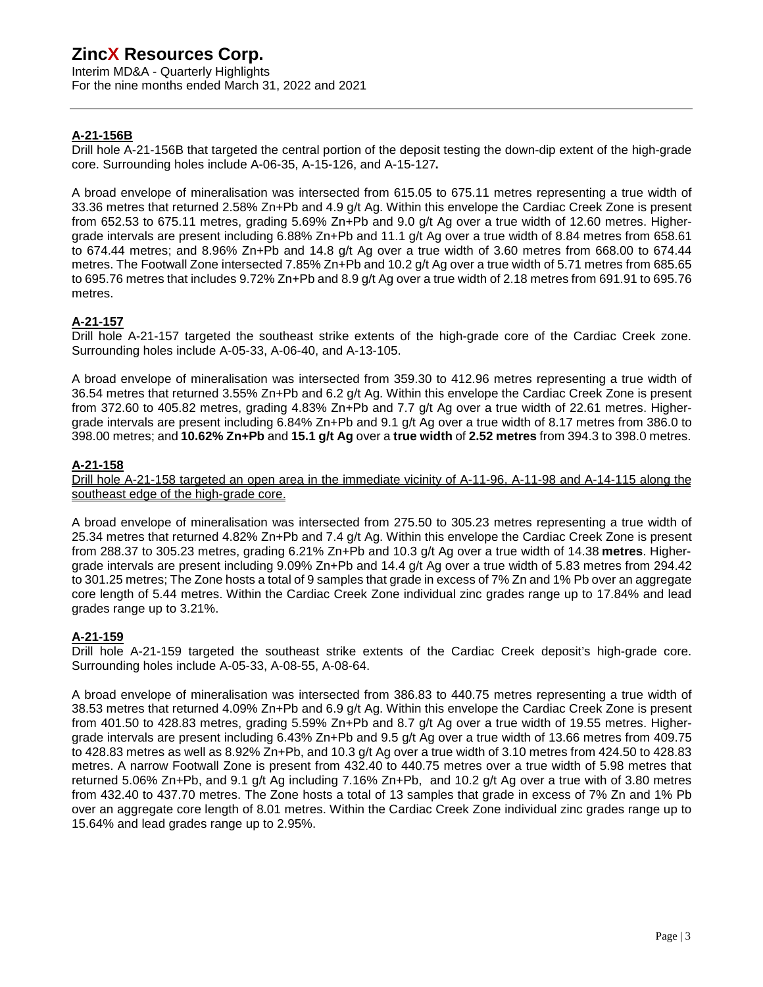Interim MD&A - Quarterly Highlights For the nine months ended March 31, 2022 and 2021

## **A-21-156B**

Drill hole A-21-156B that targeted the central portion of the deposit testing the down-dip extent of the high-grade core. Surrounding holes include A-06-35, A-15-126, and A-15-127**.** 

A broad envelope of mineralisation was intersected from 615.05 to 675.11 metres representing a true width of 33.36 metres that returned 2.58% Zn+Pb and 4.9 g/t Ag. Within this envelope the Cardiac Creek Zone is present from 652.53 to 675.11 metres, grading 5.69% Zn+Pb and 9.0 g/t Ag over a true width of 12.60 metres. Highergrade intervals are present including 6.88% Zn+Pb and 11.1 g/t Ag over a true width of 8.84 metres from 658.61 to 674.44 metres; and 8.96% Zn+Pb and 14.8 g/t Ag over a true width of 3.60 metres from 668.00 to 674.44 metres. The Footwall Zone intersected 7.85% Zn+Pb and 10.2 g/t Ag over a true width of 5.71 metres from 685.65 to 695.76 metres that includes 9.72% Zn+Pb and 8.9 g/t Ag over a true width of 2.18 metres from 691.91 to 695.76 metres.

## **A-21-157**

Drill hole A-21-157 targeted the southeast strike extents of the high-grade core of the Cardiac Creek zone. Surrounding holes include A-05-33, A-06-40, and A-13-105.

A broad envelope of mineralisation was intersected from 359.30 to 412.96 metres representing a true width of 36.54 metres that returned 3.55% Zn+Pb and 6.2 g/t Ag. Within this envelope the Cardiac Creek Zone is present from 372.60 to 405.82 metres, grading 4.83% Zn+Pb and 7.7 g/t Ag over a true width of 22.61 metres. Highergrade intervals are present including 6.84% Zn+Pb and 9.1 g/t Ag over a true width of 8.17 metres from 386.0 to 398.00 metres; and **10.62% Zn+Pb** and **15.1 g/t Ag** over a **true width** of **2.52 metres** from 394.3 to 398.0 metres.

## **A-21-158**

Drill hole A-21-158 targeted an open area in the immediate vicinity of A-11-96, A-11-98 and A-14-115 along the southeast edge of the high-grade core.

A broad envelope of mineralisation was intersected from 275.50 to 305.23 metres representing a true width of 25.34 metres that returned 4.82% Zn+Pb and 7.4 g/t Ag. Within this envelope the Cardiac Creek Zone is present from 288.37 to 305.23 metres, grading 6.21% Zn+Pb and 10.3 g/t Ag over a true width of 14.38 **metres**. Highergrade intervals are present including 9.09% Zn+Pb and 14.4 g/t Ag over a true width of 5.83 metres from 294.42 to 301.25 metres; The Zone hosts a total of 9 samples that grade in excess of 7% Zn and 1% Pb over an aggregate core length of 5.44 metres. Within the Cardiac Creek Zone individual zinc grades range up to 17.84% and lead grades range up to 3.21%.

### **A-21-159**

Drill hole A-21-159 targeted the southeast strike extents of the Cardiac Creek deposit's high-grade core. Surrounding holes include A-05-33, A-08-55, A-08-64.

A broad envelope of mineralisation was intersected from 386.83 to 440.75 metres representing a true width of 38.53 metres that returned 4.09% Zn+Pb and 6.9 g/t Ag. Within this envelope the Cardiac Creek Zone is present from 401.50 to 428.83 metres, grading 5.59% Zn+Pb and 8.7 g/t Ag over a true width of 19.55 metres. Highergrade intervals are present including 6.43% Zn+Pb and 9.5 g/t Ag over a true width of 13.66 metres from 409.75 to 428.83 metres as well as 8.92% Zn+Pb, and 10.3 g/t Ag over a true width of 3.10 metres from 424.50 to 428.83 metres. A narrow Footwall Zone is present from 432.40 to 440.75 metres over a true width of 5.98 metres that returned 5.06% Zn+Pb, and 9.1 g/t Ag including 7.16% Zn+Pb, and 10.2 g/t Ag over a true with of 3.80 metres from 432.40 to 437.70 metres. The Zone hosts a total of 13 samples that grade in excess of 7% Zn and 1% Pb over an aggregate core length of 8.01 metres. Within the Cardiac Creek Zone individual zinc grades range up to 15.64% and lead grades range up to 2.95%.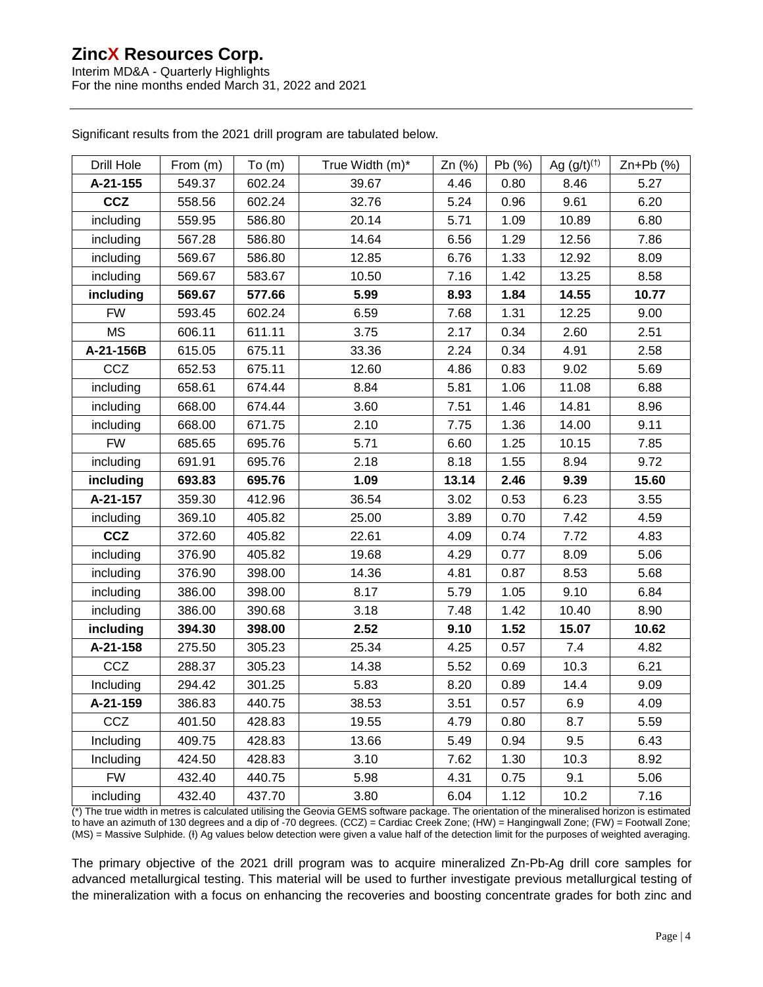Interim MD&A - Quarterly Highlights For the nine months ended March 31, 2022 and 2021

|  | Significant results from the 2021 drill program are tabulated below. |
|--|----------------------------------------------------------------------|
|--|----------------------------------------------------------------------|

| Drill Hole | From $(m)$ | To(m)  | True Width (m)* | Zn (%) | Pb (%) | Ag $(g/t)^{(1)}$ | $Zn+Pb$ (%) |
|------------|------------|--------|-----------------|--------|--------|------------------|-------------|
| A-21-155   | 549.37     | 602.24 | 39.67           | 4.46   | 0.80   | 8.46             | 5.27        |
| <b>CCZ</b> | 558.56     | 602.24 | 32.76           | 5.24   | 0.96   | 9.61             | 6.20        |
| including  | 559.95     | 586.80 | 20.14           | 5.71   | 1.09   | 10.89            | 6.80        |
| including  | 567.28     | 586.80 | 14.64           | 6.56   | 1.29   | 12.56            | 7.86        |
| including  | 569.67     | 586.80 | 12.85           | 6.76   | 1.33   | 12.92            | 8.09        |
| including  | 569.67     | 583.67 | 10.50           | 7.16   | 1.42   | 13.25            | 8.58        |
| including  | 569.67     | 577.66 | 5.99            | 8.93   | 1.84   | 14.55            | 10.77       |
| <b>FW</b>  | 593.45     | 602.24 | 6.59            | 7.68   | 1.31   | 12.25            | 9.00        |
| <b>MS</b>  | 606.11     | 611.11 | 3.75            | 2.17   | 0.34   | 2.60             | 2.51        |
| A-21-156B  | 615.05     | 675.11 | 33.36           | 2.24   | 0.34   | 4.91             | 2.58        |
| CCZ        | 652.53     | 675.11 | 12.60           | 4.86   | 0.83   | 9.02             | 5.69        |
| including  | 658.61     | 674.44 | 8.84            | 5.81   | 1.06   | 11.08            | 6.88        |
| including  | 668.00     | 674.44 | 3.60            | 7.51   | 1.46   | 14.81            | 8.96        |
| including  | 668.00     | 671.75 | 2.10            | 7.75   | 1.36   | 14.00            | 9.11        |
| <b>FW</b>  | 685.65     | 695.76 | 5.71            | 6.60   | 1.25   | 10.15            | 7.85        |
| including  | 691.91     | 695.76 | 2.18            | 8.18   | 1.55   | 8.94             | 9.72        |
| including  | 693.83     | 695.76 | 1.09            | 13.14  | 2.46   | 9.39             | 15.60       |
| A-21-157   | 359.30     | 412.96 | 36.54           | 3.02   | 0.53   | 6.23             | 3.55        |
| including  | 369.10     | 405.82 | 25.00           | 3.89   | 0.70   | 7.42             | 4.59        |
| <b>CCZ</b> | 372.60     | 405.82 | 22.61           | 4.09   | 0.74   | 7.72             | 4.83        |
| including  | 376.90     | 405.82 | 19.68           | 4.29   | 0.77   | 8.09             | 5.06        |
| including  | 376.90     | 398.00 | 14.36           | 4.81   | 0.87   | 8.53             | 5.68        |
| including  | 386.00     | 398.00 | 8.17            | 5.79   | 1.05   | 9.10             | 6.84        |
| including  | 386.00     | 390.68 | 3.18            | 7.48   | 1.42   | 10.40            | 8.90        |
| including  | 394.30     | 398.00 | 2.52            | 9.10   | 1.52   | 15.07            | 10.62       |
| A-21-158   | 275.50     | 305.23 | 25.34           | 4.25   | 0.57   | 7.4              | 4.82        |
| CCZ        | 288.37     | 305.23 | 14.38           | 5.52   | 0.69   | 10.3             | 6.21        |
| Including  | 294.42     | 301.25 | 5.83            | 8.20   | 0.89   | 14.4             | 9.09        |
| A-21-159   | 386.83     | 440.75 | 38.53           | 3.51   | 0.57   | 6.9              | 4.09        |
| CCZ        | 401.50     | 428.83 | 19.55           | 4.79   | 0.80   | 8.7              | 5.59        |
| Including  | 409.75     | 428.83 | 13.66           | 5.49   | 0.94   | 9.5              | 6.43        |
| Including  | 424.50     | 428.83 | 3.10            | 7.62   | 1.30   | 10.3             | 8.92        |
| <b>FW</b>  | 432.40     | 440.75 | 5.98            | 4.31   | 0.75   | 9.1              | 5.06        |
| including  | 432.40     | 437.70 | 3.80            | 6.04   | 1.12   | 10.2             | 7.16        |

(\*) The true width in metres is calculated utilising the Geovia GEMS software package. The orientation of the mineralised horizon is estimated to have an azimuth of 130 degrees and a dip of -70 degrees. (CCZ) = Cardiac Creek Zone; (HW) = Hangingwall Zone; (FW) = Footwall Zone; (MS) = Massive Sulphide. (I) Ag values below detection were given a value half of the detection limit for the purposes of weighted averaging.

The primary objective of the 2021 drill program was to acquire mineralized Zn-Pb-Ag drill core samples for advanced metallurgical testing. This material will be used to further investigate previous metallurgical testing of the mineralization with a focus on enhancing the recoveries and boosting concentrate grades for both zinc and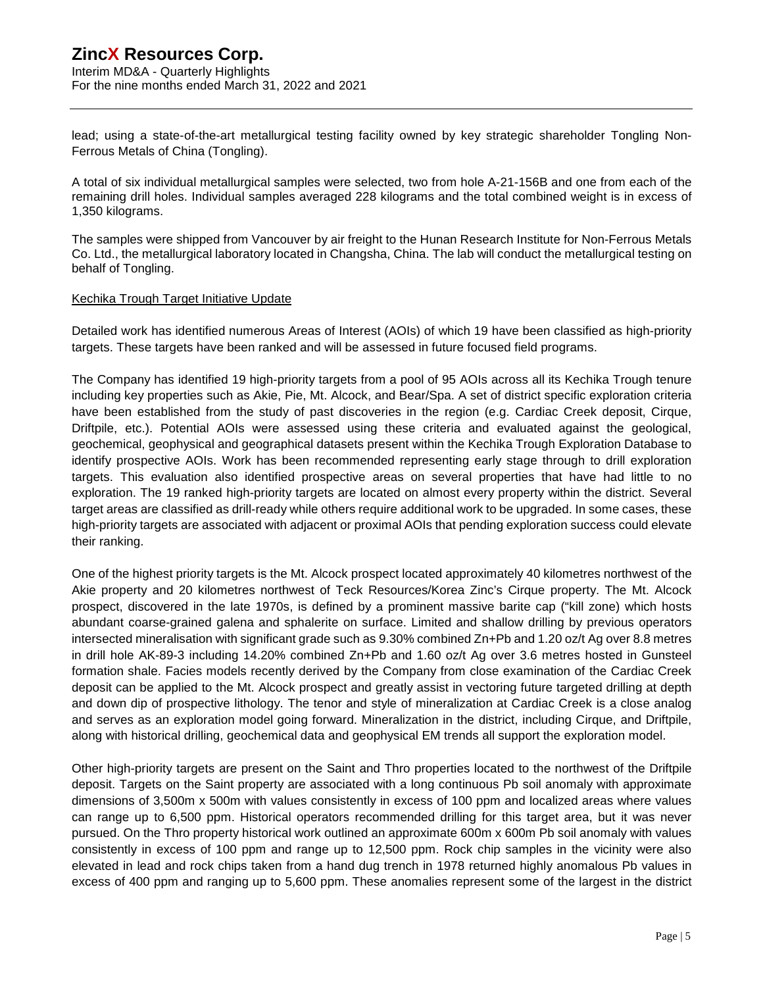Interim MD&A - Quarterly Highlights For the nine months ended March 31, 2022 and 2021

lead; using a state-of-the-art metallurgical testing facility owned by key strategic shareholder Tongling Non-Ferrous Metals of China (Tongling).

A total of six individual metallurgical samples were selected, two from hole A-21-156B and one from each of the remaining drill holes. Individual samples averaged 228 kilograms and the total combined weight is in excess of 1,350 kilograms.

The samples were shipped from Vancouver by air freight to the Hunan Research Institute for Non-Ferrous Metals Co. Ltd., the metallurgical laboratory located in Changsha, China. The lab will conduct the metallurgical testing on behalf of Tongling.

#### Kechika Trough Target Initiative Update

Detailed work has identified numerous Areas of Interest (AOIs) of which 19 have been classified as high-priority targets. These targets have been ranked and will be assessed in future focused field programs.

The Company has identified 19 high-priority targets from a pool of 95 AOIs across all its Kechika Trough tenure including key properties such as Akie, Pie, Mt. Alcock, and Bear/Spa. A set of district specific exploration criteria have been established from the study of past discoveries in the region (e.g. Cardiac Creek deposit, Cirque, Driftpile, etc.). Potential AOIs were assessed using these criteria and evaluated against the geological, geochemical, geophysical and geographical datasets present within the Kechika Trough Exploration Database to identify prospective AOIs. Work has been recommended representing early stage through to drill exploration targets. This evaluation also identified prospective areas on several properties that have had little to no exploration. The 19 ranked high-priority targets are located on almost every property within the district. Several target areas are classified as drill-ready while others require additional work to be upgraded. In some cases, these high-priority targets are associated with adjacent or proximal AOIs that pending exploration success could elevate their ranking.

One of the highest priority targets is the Mt. Alcock prospect located approximately 40 kilometres northwest of the Akie property and 20 kilometres northwest of Teck Resources/Korea Zinc's Cirque property. The Mt. Alcock prospect, discovered in the late 1970s, is defined by a prominent massive barite cap ("kill zone) which hosts abundant coarse-grained galena and sphalerite on surface. Limited and shallow drilling by previous operators intersected mineralisation with significant grade such as 9.30% combined Zn+Pb and 1.20 oz/t Ag over 8.8 metres in drill hole AK-89-3 including 14.20% combined Zn+Pb and 1.60 oz/t Ag over 3.6 metres hosted in Gunsteel formation shale. Facies models recently derived by the Company from close examination of the Cardiac Creek deposit can be applied to the Mt. Alcock prospect and greatly assist in vectoring future targeted drilling at depth and down dip of prospective lithology. The tenor and style of mineralization at Cardiac Creek is a close analog and serves as an exploration model going forward. Mineralization in the district, including Cirque, and Driftpile, along with historical drilling, geochemical data and geophysical EM trends all support the exploration model.

Other high-priority targets are present on the Saint and Thro properties located to the northwest of the Driftpile deposit. Targets on the Saint property are associated with a long continuous Pb soil anomaly with approximate dimensions of 3,500m x 500m with values consistently in excess of 100 ppm and localized areas where values can range up to 6,500 ppm. Historical operators recommended drilling for this target area, but it was never pursued. On the Thro property historical work outlined an approximate 600m x 600m Pb soil anomaly with values consistently in excess of 100 ppm and range up to 12,500 ppm. Rock chip samples in the vicinity were also elevated in lead and rock chips taken from a hand dug trench in 1978 returned highly anomalous Pb values in excess of 400 ppm and ranging up to 5,600 ppm. These anomalies represent some of the largest in the district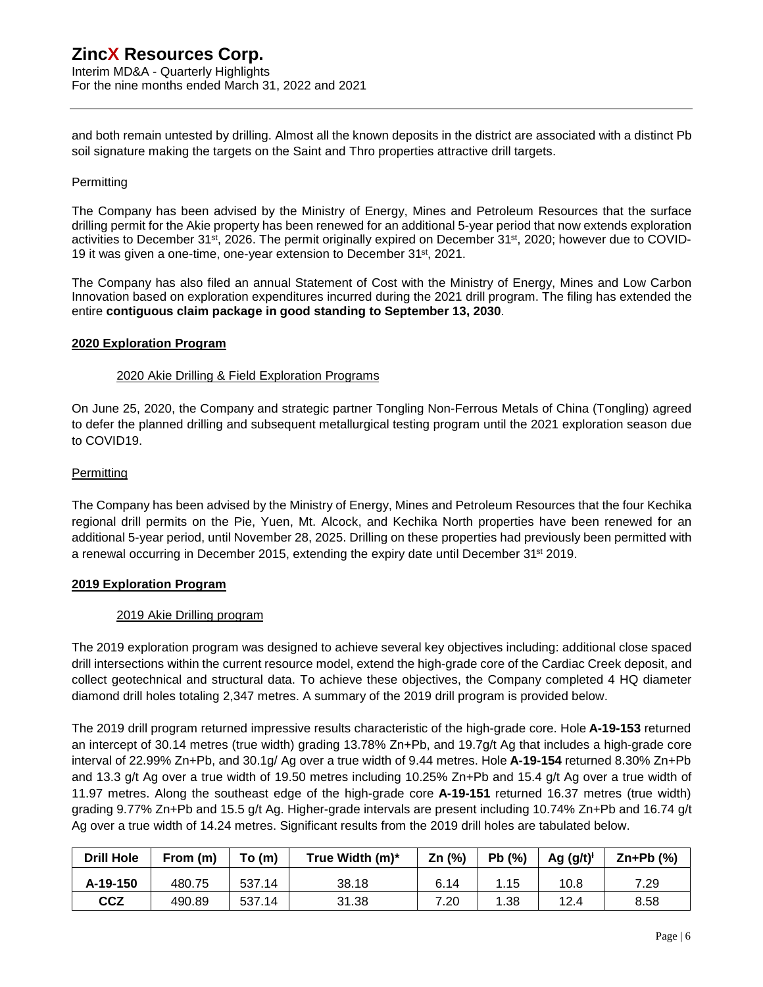Interim MD&A - Quarterly Highlights For the nine months ended March 31, 2022 and 2021

and both remain untested by drilling. Almost all the known deposits in the district are associated with a distinct Pb soil signature making the targets on the Saint and Thro properties attractive drill targets.

#### **Permitting**

The Company has been advised by the Ministry of Energy, Mines and Petroleum Resources that the surface drilling permit for the Akie property has been renewed for an additional 5-year period that now extends exploration activities to December 31st, 2026. The permit originally expired on December 31st, 2020; however due to COVID-19 it was given a one-time, one-year extension to December 31<sup>st</sup>, 2021.

The Company has also filed an annual Statement of Cost with the Ministry of Energy, Mines and Low Carbon Innovation based on exploration expenditures incurred during the 2021 drill program. The filing has extended the entire **contiguous claim package in good standing to September 13, 2030**.

#### **2020 Exploration Program**

#### 2020 Akie Drilling & Field Exploration Programs

On June 25, 2020, the Company and strategic partner Tongling Non-Ferrous Metals of China (Tongling) agreed to defer the planned drilling and subsequent metallurgical testing program until the 2021 exploration season due to COVID19.

#### Permitting

The Company has been advised by the Ministry of Energy, Mines and Petroleum Resources that the four Kechika regional drill permits on the Pie, Yuen, Mt. Alcock, and Kechika North properties have been renewed for an additional 5-year period, until November 28, 2025. Drilling on these properties had previously been permitted with a renewal occurring in December 2015, extending the expiry date until December 31st 2019.

#### **2019 Exploration Program**

#### 2019 Akie Drilling program

The 2019 exploration program was designed to achieve several key objectives including: additional close spaced drill intersections within the current resource model, extend the high-grade core of the Cardiac Creek deposit, and collect geotechnical and structural data. To achieve these objectives, the Company completed 4 HQ diameter diamond drill holes totaling 2,347 metres. A summary of the 2019 drill program is provided below.

The 2019 drill program returned impressive results characteristic of the high-grade core. Hole **A-19-153** returned an intercept of 30.14 metres (true width) grading 13.78% Zn+Pb, and 19.7g/t Ag that includes a high-grade core interval of 22.99% Zn+Pb, and 30.1g/ Ag over a true width of 9.44 metres. Hole **A-19-154** returned 8.30% Zn+Pb and 13.3 g/t Ag over a true width of 19.50 metres including 10.25% Zn+Pb and 15.4 g/t Ag over a true width of 11.97 metres. Along the southeast edge of the high-grade core **A-19-151** returned 16.37 metres (true width) grading 9.77% Zn+Pb and 15.5 g/t Ag. Higher-grade intervals are present including 10.74% Zn+Pb and 16.74 g/t Ag over a true width of 14.24 metres. Significant results from the 2019 drill holes are tabulated below.

| <b>Drill Hole</b> | From (m) | To(m)  | True Width (m)* | Zn $(%)$ | Pb(%) | Ag $(g/t)^{t}$ | $Zn+Pb$ (%) |
|-------------------|----------|--------|-----------------|----------|-------|----------------|-------------|
| A-19-150          | 480.75   | 537.14 | 38.18           | 6.14     | 1.15  | 10.8           | 7.29        |
| <b>CCZ</b>        | 490.89   | 537.14 | 31.38           | 7.20     | 1.38  | 12.4           | 8.58        |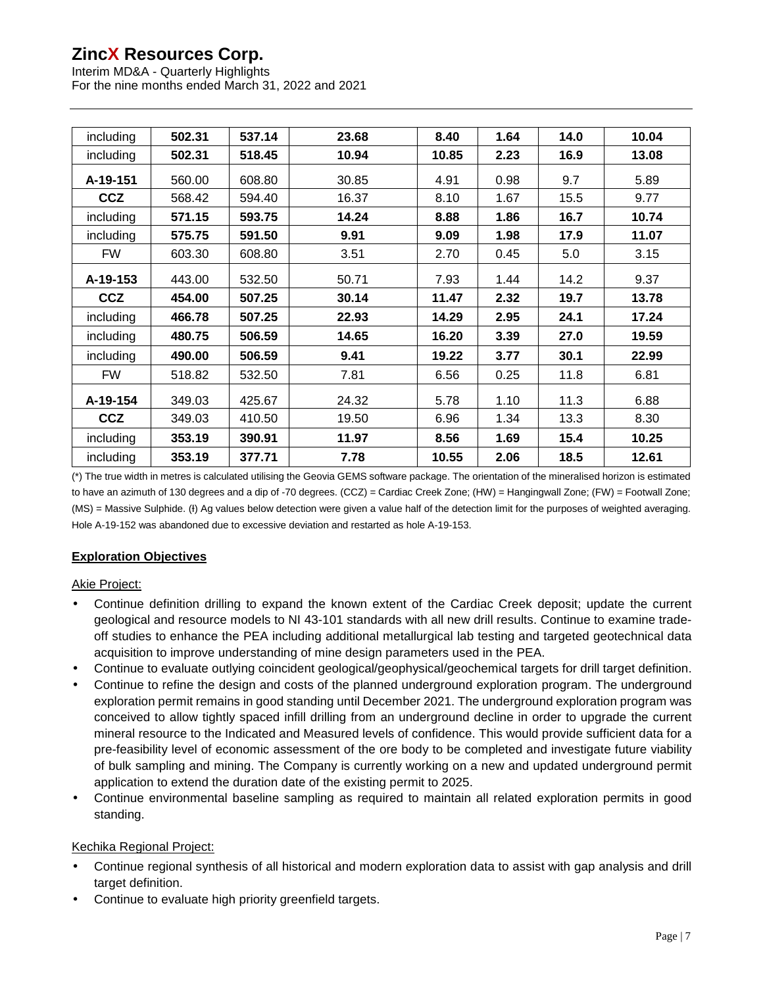Interim MD&A - Quarterly Highlights For the nine months ended March 31, 2022 and 2021

| including  | 502.31 | 537.14 | 23.68 | 8.40  | 1.64 | 14.0 | 10.04 |
|------------|--------|--------|-------|-------|------|------|-------|
| including  | 502.31 | 518.45 | 10.94 | 10.85 | 2.23 | 16.9 | 13.08 |
| A-19-151   | 560.00 | 608.80 | 30.85 | 4.91  | 0.98 | 9.7  | 5.89  |
| <b>CCZ</b> | 568.42 | 594.40 | 16.37 | 8.10  | 1.67 | 15.5 | 9.77  |
| including  | 571.15 | 593.75 | 14.24 | 8.88  | 1.86 | 16.7 | 10.74 |
| including  | 575.75 | 591.50 | 9.91  | 9.09  | 1.98 | 17.9 | 11.07 |
| FW         | 603.30 | 608.80 | 3.51  | 2.70  | 0.45 | 5.0  | 3.15  |
| A-19-153   | 443.00 | 532.50 | 50.71 | 7.93  | 1.44 | 14.2 | 9.37  |
| <b>CCZ</b> | 454.00 | 507.25 | 30.14 | 11.47 | 2.32 | 19.7 | 13.78 |
| including  | 466.78 | 507.25 | 22.93 | 14.29 | 2.95 | 24.1 | 17.24 |
| including  | 480.75 | 506.59 | 14.65 | 16.20 | 3.39 | 27.0 | 19.59 |
| including  | 490.00 | 506.59 | 9.41  | 19.22 | 3.77 | 30.1 | 22.99 |
| FW         | 518.82 | 532.50 | 7.81  | 6.56  | 0.25 | 11.8 | 6.81  |
| A-19-154   | 349.03 | 425.67 | 24.32 | 5.78  | 1.10 | 11.3 | 6.88  |
| <b>CCZ</b> | 349.03 | 410.50 | 19.50 | 6.96  | 1.34 | 13.3 | 8.30  |
| including  | 353.19 | 390.91 | 11.97 | 8.56  | 1.69 | 15.4 | 10.25 |
| including  | 353.19 | 377.71 | 7.78  | 10.55 | 2.06 | 18.5 | 12.61 |

(\*) The true width in metres is calculated utilising the Geovia GEMS software package. The orientation of the mineralised horizon is estimated to have an azimuth of 130 degrees and a dip of -70 degrees. (CCZ) = Cardiac Creek Zone; (HW) = Hangingwall Zone; (FW) = Footwall Zone; (MS) = Massive Sulphide. (I) Ag values below detection were given a value half of the detection limit for the purposes of weighted averaging. Hole A-19-152 was abandoned due to excessive deviation and restarted as hole A-19-153.

## **Exploration Objectives**

## Akie Project:

- Continue definition drilling to expand the known extent of the Cardiac Creek deposit; update the current geological and resource models to NI 43-101 standards with all new drill results. Continue to examine tradeoff studies to enhance the PEA including additional metallurgical lab testing and targeted geotechnical data acquisition to improve understanding of mine design parameters used in the PEA.
- Continue to evaluate outlying coincident geological/geophysical/geochemical targets for drill target definition.
- Continue to refine the design and costs of the planned underground exploration program. The underground exploration permit remains in good standing until December 2021. The underground exploration program was conceived to allow tightly spaced infill drilling from an underground decline in order to upgrade the current mineral resource to the Indicated and Measured levels of confidence. This would provide sufficient data for a pre-feasibility level of economic assessment of the ore body to be completed and investigate future viability of bulk sampling and mining. The Company is currently working on a new and updated underground permit application to extend the duration date of the existing permit to 2025.
- Continue environmental baseline sampling as required to maintain all related exploration permits in good standing.

### Kechika Regional Project:

- Continue regional synthesis of all historical and modern exploration data to assist with gap analysis and drill target definition.
- Continue to evaluate high priority greenfield targets.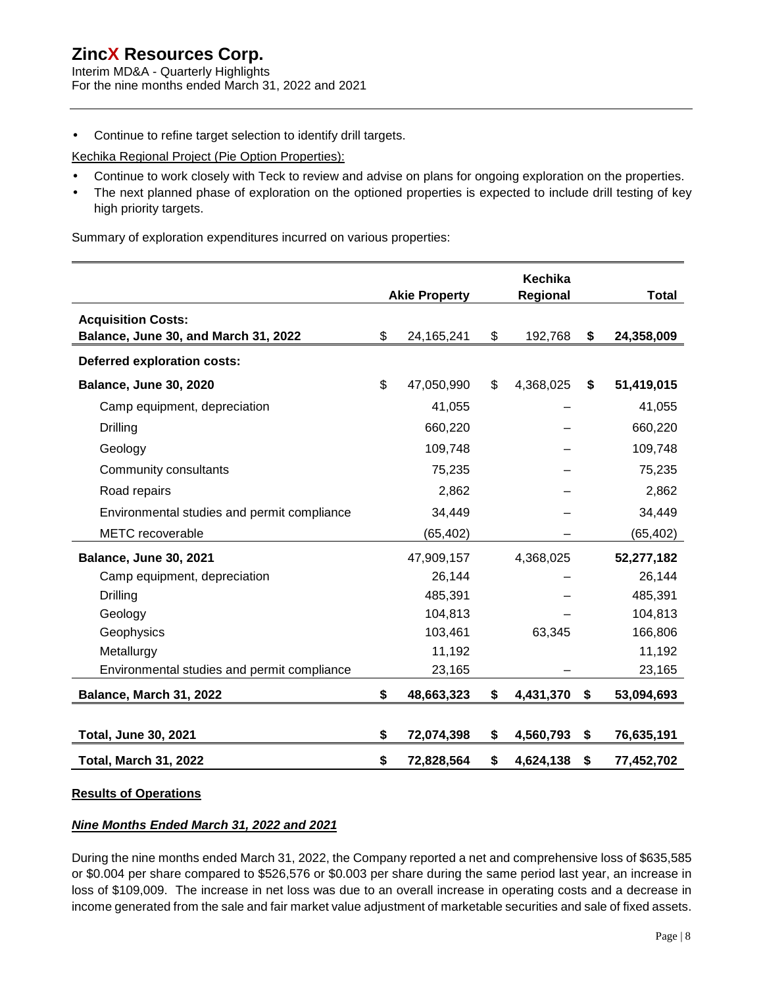Interim MD&A - Quarterly Highlights For the nine months ended March 31, 2022 and 2021

Continue to refine target selection to identify drill targets.

Kechika Regional Project (Pie Option Properties):

- $\overline{a}$ Continue to work closely with Teck to review and advise on plans for ongoing exploration on the properties.
- The next planned phase of exploration on the optioned properties is expected to include drill testing of key high priority targets.

Summary of exploration expenditures incurred on various properties:

|                                                                   | <b>Akie Property</b> | Kechika<br>Regional | <b>Total</b>     |
|-------------------------------------------------------------------|----------------------|---------------------|------------------|
| <b>Acquisition Costs:</b><br>Balance, June 30, and March 31, 2022 | \$<br>24, 165, 241   | \$<br>192,768       | \$<br>24,358,009 |
| <b>Deferred exploration costs:</b>                                |                      |                     |                  |
| <b>Balance, June 30, 2020</b>                                     | \$<br>47,050,990     | \$<br>4,368,025     | \$<br>51,419,015 |
| Camp equipment, depreciation                                      | 41,055               |                     | 41,055           |
| Drilling                                                          | 660,220              |                     | 660,220          |
| Geology                                                           | 109,748              |                     | 109,748          |
| Community consultants                                             | 75,235               |                     | 75,235           |
| Road repairs                                                      | 2,862                |                     | 2,862            |
| Environmental studies and permit compliance                       | 34,449               |                     | 34,449           |
| <b>METC</b> recoverable                                           | (65, 402)            |                     | (65, 402)        |
| Balance, June 30, 2021                                            | 47,909,157           | 4,368,025           | 52,277,182       |
| Camp equipment, depreciation                                      | 26,144               |                     | 26,144           |
| Drilling                                                          | 485,391              |                     | 485,391          |
| Geology                                                           | 104,813              |                     | 104,813          |
| Geophysics                                                        | 103,461              | 63,345              | 166,806          |
| Metallurgy                                                        | 11,192               |                     | 11,192           |
| Environmental studies and permit compliance                       | 23,165               |                     | 23,165           |
| Balance, March 31, 2022                                           | \$<br>48,663,323     | \$<br>4,431,370     | \$<br>53,094,693 |
|                                                                   |                      |                     |                  |
| <b>Total, June 30, 2021</b>                                       | \$<br>72,074,398     | \$<br>4,560,793     | \$<br>76,635,191 |
| <b>Total, March 31, 2022</b>                                      | \$<br>72,828,564     | \$<br>4,624,138     | \$<br>77,452,702 |

#### **Results of Operations**

### *Nine Months Ended March 31, 2022 and 2021*

During the nine months ended March 31, 2022, the Company reported a net and comprehensive loss of \$635,585 or \$0.004 per share compared to \$526,576 or \$0.003 per share during the same period last year, an increase in loss of \$109,009. The increase in net loss was due to an overall increase in operating costs and a decrease in income generated from the sale and fair market value adjustment of marketable securities and sale of fixed assets.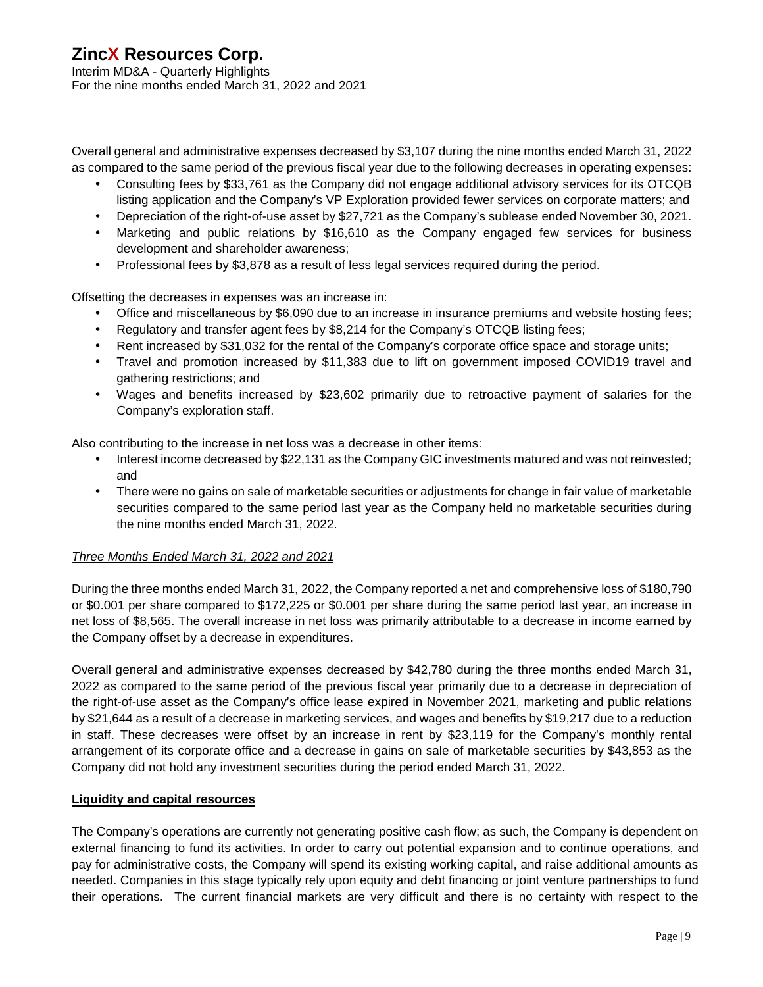Overall general and administrative expenses decreased by \$3,107 during the nine months ended March 31, 2022 as compared to the same period of the previous fiscal year due to the following decreases in operating expenses:

- Consulting fees by \$33,761 as the Company did not engage additional advisory services for its OTCQB listing application and the Company's VP Exploration provided fewer services on corporate matters; and
- Depreciation of the right-of-use asset by \$27,721 as the Company's sublease ended November 30, 2021.
- Marketing and public relations by \$16,610 as the Company engaged few services for business  $\mathcal{L}^{\text{max}}$ development and shareholder awareness;
- ä. Professional fees by \$3,878 as a result of less legal services required during the period.

Offsetting the decreases in expenses was an increase in:

- Office and miscellaneous by \$6,090 due to an increase in insurance premiums and website hosting fees;
- Regulatory and transfer agent fees by \$8,214 for the Company's OTCQB listing fees; ¥.
- Rent increased by \$31,032 for the rental of the Company's corporate office space and storage units;
- Travel and promotion increased by \$11,383 due to lift on government imposed COVID19 travel and  $\epsilon$ gathering restrictions; and
- Wages and benefits increased by \$23,602 primarily due to retroactive payment of salaries for the Company's exploration staff.

Also contributing to the increase in net loss was a decrease in other items:

- Interest income decreased by \$22,131 as the Company GIC investments matured and was not reinvested; and
- There were no gains on sale of marketable securities or adjustments for change in fair value of marketable  $\Box$ securities compared to the same period last year as the Company held no marketable securities during the nine months ended March 31, 2022.

### *Three Months Ended March 31, 2022 and 2021*

During the three months ended March 31, 2022, the Company reported a net and comprehensive loss of \$180,790 or \$0.001 per share compared to \$172,225 or \$0.001 per share during the same period last year, an increase in net loss of \$8,565. The overall increase in net loss was primarily attributable to a decrease in income earned by the Company offset by a decrease in expenditures.

Overall general and administrative expenses decreased by \$42,780 during the three months ended March 31, 2022 as compared to the same period of the previous fiscal year primarily due to a decrease in depreciation of the right-of-use asset as the Company's office lease expired in November 2021, marketing and public relations by \$21,644 as a result of a decrease in marketing services, and wages and benefits by \$19,217 due to a reduction in staff. These decreases were offset by an increase in rent by \$23,119 for the Company's monthly rental arrangement of its corporate office and a decrease in gains on sale of marketable securities by \$43,853 as the Company did not hold any investment securities during the period ended March 31, 2022.

### **Liquidity and capital resources**

The Company's operations are currently not generating positive cash flow; as such, the Company is dependent on external financing to fund its activities. In order to carry out potential expansion and to continue operations, and pay for administrative costs, the Company will spend its existing working capital, and raise additional amounts as needed. Companies in this stage typically rely upon equity and debt financing or joint venture partnerships to fund their operations. The current financial markets are very difficult and there is no certainty with respect to the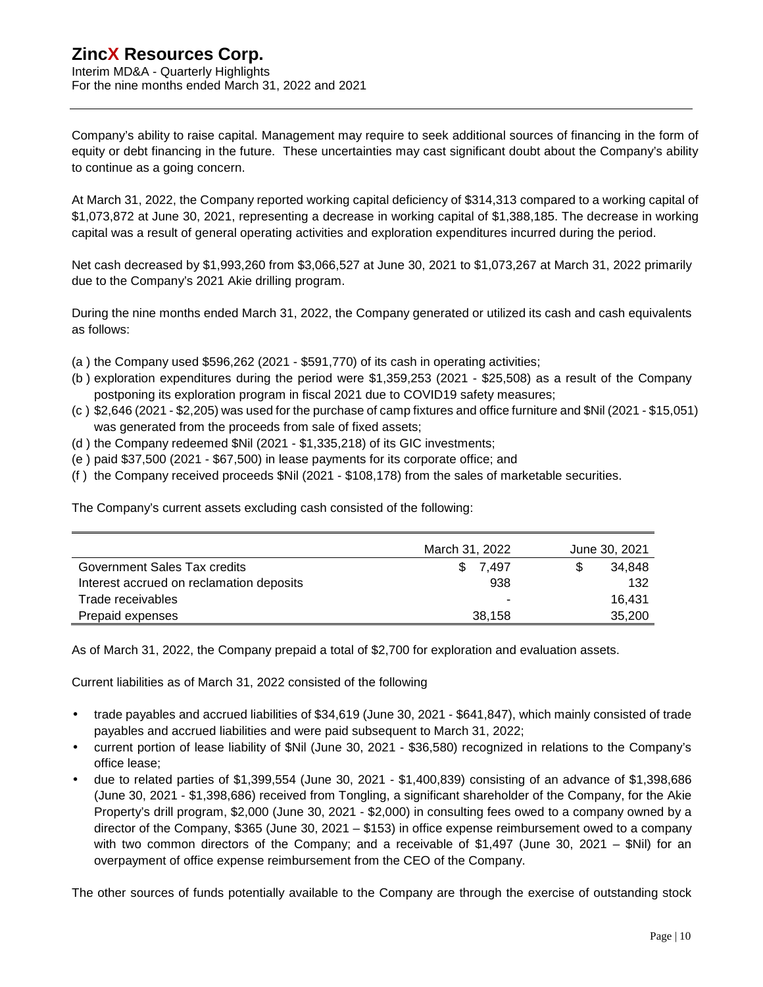Company's ability to raise capital. Management may require to seek additional sources of financing in the form of equity or debt financing in the future. These uncertainties may cast significant doubt about the Company's ability to continue as a going concern.

At March 31, 2022, the Company reported working capital deficiency of \$314,313 compared to a working capital of \$1,073,872 at June 30, 2021, representing a decrease in working capital of \$1,388,185. The decrease in working capital was a result of general operating activities and exploration expenditures incurred during the period.

Net cash decreased by \$1,993,260 from \$3,066,527 at June 30, 2021 to \$1,073,267 at March 31, 2022 primarily due to the Company's 2021 Akie drilling program.

During the nine months ended March 31, 2022, the Company generated or utilized its cash and cash equivalents as follows:

- (a ) the Company used \$596,262 (2021 \$591,770) of its cash in operating activities;
- (b ) exploration expenditures during the period were \$1,359,253 (2021 \$25,508) as a result of the Company postponing its exploration program in fiscal 2021 due to COVID19 safety measures;
- (c ) \$2,646 (2021 \$2,205) was used for the purchase of camp fixtures and office furniture and \$Nil (2021 \$15,051) was generated from the proceeds from sale of fixed assets;
- (d ) the Company redeemed \$Nil (2021 \$1,335,218) of its GIC investments;
- (e ) paid \$37,500 (2021 \$67,500) in lease payments for its corporate office; and
- (f ) the Company received proceeds \$Nil (2021 \$108,178) from the sales of marketable securities.

The Company's current assets excluding cash consisted of the following:

|                                          | March 31, 2022 | June 30, 2021 |  |  |
|------------------------------------------|----------------|---------------|--|--|
| Government Sales Tax credits             | 7.497<br>S.    | 34.848        |  |  |
| Interest accrued on reclamation deposits | 938            | 132           |  |  |
| Trade receivables                        |                | 16.431        |  |  |
| Prepaid expenses                         | 38,158         | 35,200        |  |  |

As of March 31, 2022, the Company prepaid a total of \$2,700 for exploration and evaluation assets.

Current liabilities as of March 31, 2022 consisted of the following

- trade payables and accrued liabilities of \$34,619 (June 30, 2021 \$641,847), which mainly consisted of trade payables and accrued liabilities and were paid subsequent to March 31, 2022;
- current portion of lease liability of \$Nil (June 30, 2021 \$36,580) recognized in relations to the Company's office lease;
- due to related parties of \$1,399,554 (June 30, 2021 \$1,400,839) consisting of an advance of \$1,398,686 (June 30, 2021 - \$1,398,686) received from Tongling, a significant shareholder of the Company, for the Akie Property's drill program, \$2,000 (June 30, 2021 - \$2,000) in consulting fees owed to a company owned by a director of the Company, \$365 (June 30, 2021 – \$153) in office expense reimbursement owed to a company with two common directors of the Company; and a receivable of \$1,497 (June 30, 2021 – \$Nil) for an overpayment of office expense reimbursement from the CEO of the Company.

The other sources of funds potentially available to the Company are through the exercise of outstanding stock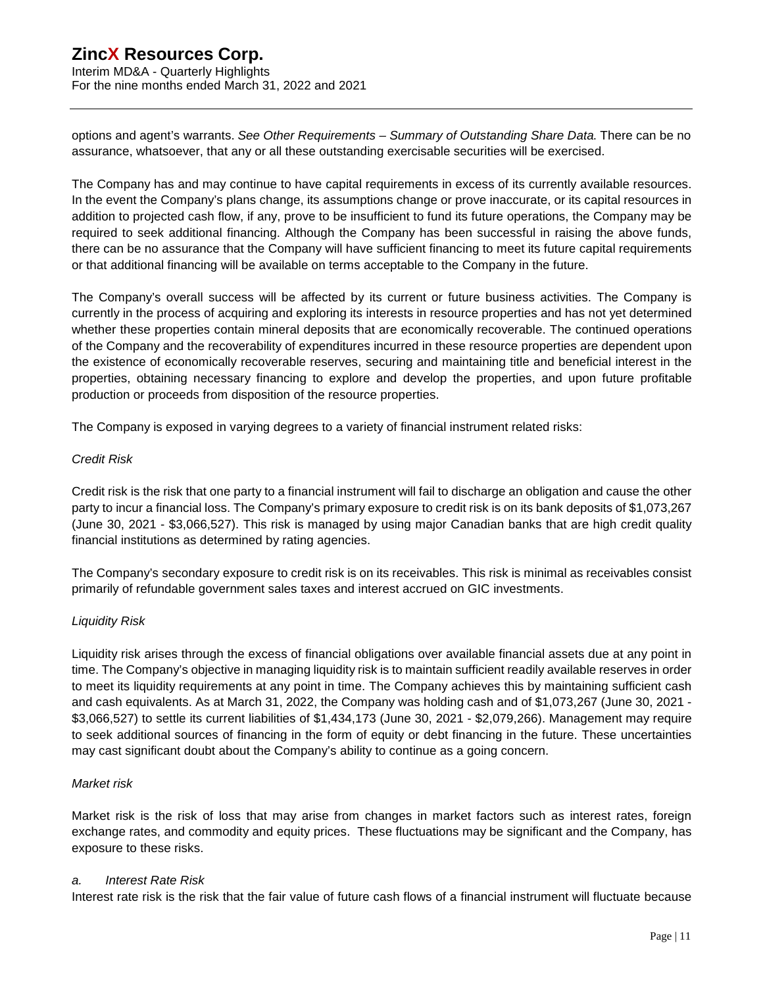Interim MD&A - Quarterly Highlights For the nine months ended March 31, 2022 and 2021

options and agent's warrants. *See Other Requirements – Summary of Outstanding Share Data*. There can be no assurance, whatsoever, that any or all these outstanding exercisable securities will be exercised.

The Company has and may continue to have capital requirements in excess of its currently available resources. In the event the Company's plans change, its assumptions change or prove inaccurate, or its capital resources in addition to projected cash flow, if any, prove to be insufficient to fund its future operations, the Company may be required to seek additional financing. Although the Company has been successful in raising the above funds, there can be no assurance that the Company will have sufficient financing to meet its future capital requirements or that additional financing will be available on terms acceptable to the Company in the future.

The Company's overall success will be affected by its current or future business activities. The Company is currently in the process of acquiring and exploring its interests in resource properties and has not yet determined whether these properties contain mineral deposits that are economically recoverable. The continued operations of the Company and the recoverability of expenditures incurred in these resource properties are dependent upon the existence of economically recoverable reserves, securing and maintaining title and beneficial interest in the properties, obtaining necessary financing to explore and develop the properties, and upon future profitable production or proceeds from disposition of the resource properties.

The Company is exposed in varying degrees to a variety of financial instrument related risks:

#### *Credit Risk*

Credit risk is the risk that one party to a financial instrument will fail to discharge an obligation and cause the other party to incur a financial loss. The Company's primary exposure to credit risk is on its bank deposits of \$1,073,267 (June 30, 2021 - \$3,066,527). This risk is managed by using major Canadian banks that are high credit quality financial institutions as determined by rating agencies.

The Company's secondary exposure to credit risk is on its receivables. This risk is minimal as receivables consist primarily of refundable government sales taxes and interest accrued on GIC investments.

#### *Liquidity Risk*

Liquidity risk arises through the excess of financial obligations over available financial assets due at any point in time. The Company's objective in managing liquidity risk is to maintain sufficient readily available reserves in order to meet its liquidity requirements at any point in time. The Company achieves this by maintaining sufficient cash and cash equivalents. As at March 31, 2022, the Company was holding cash and of \$1,073,267 (June 30, 2021 - \$3,066,527) to settle its current liabilities of \$1,434,173 (June 30, 2021 - \$2,079,266). Management may require to seek additional sources of financing in the form of equity or debt financing in the future. These uncertainties may cast significant doubt about the Company's ability to continue as a going concern.

#### *Market risk*

Market risk is the risk of loss that may arise from changes in market factors such as interest rates, foreign exchange rates, and commodity and equity prices. These fluctuations may be significant and the Company, has exposure to these risks.

#### *a. Interest Rate Risk*

Interest rate risk is the risk that the fair value of future cash flows of a financial instrument will fluctuate because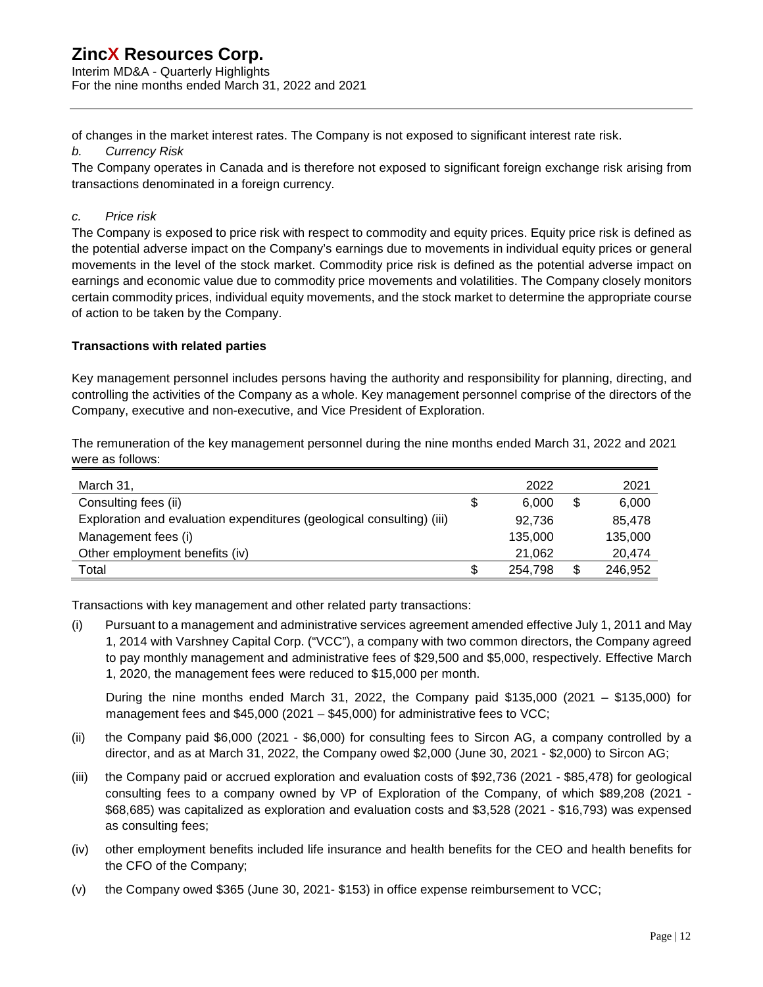Interim MD&A - Quarterly Highlights For the nine months ended March 31, 2022 and 2021

of changes in the market interest rates. The Company is not exposed to significant interest rate risk.

### *b. Currency Risk*

The Company operates in Canada and is therefore not exposed to significant foreign exchange risk arising from transactions denominated in a foreign currency.

## *c. Price risk*

The Company is exposed to price risk with respect to commodity and equity prices. Equity price risk is defined as the potential adverse impact on the Company's earnings due to movements in individual equity prices or general movements in the level of the stock market. Commodity price risk is defined as the potential adverse impact on earnings and economic value due to commodity price movements and volatilities. The Company closely monitors certain commodity prices, individual equity movements, and the stock market to determine the appropriate course of action to be taken by the Company.

## **Transactions with related parties**

Key management personnel includes persons having the authority and responsibility for planning, directing, and controlling the activities of the Company as a whole. Key management personnel comprise of the directors of the Company, executive and non-executive, and Vice President of Exploration.

The remuneration of the key management personnel during the nine months ended March 31, 2022 and 2021 were as follows:

| March 31,                                                             | 2022    | 2021          |
|-----------------------------------------------------------------------|---------|---------------|
| Consulting fees (ii)                                                  | 6.000   | \$<br>6,000   |
| Exploration and evaluation expenditures (geological consulting) (iii) | 92.736  | 85.478        |
| Management fees (i)                                                   | 135,000 | 135,000       |
| Other employment benefits (iv)                                        | 21.062  | 20.474        |
| Total                                                                 | 254.798 | \$<br>246,952 |

Transactions with key management and other related party transactions:

(i) Pursuant to a management and administrative services agreement amended effective July 1, 2011 and May 1, 2014 with Varshney Capital Corp. ("VCC"), a company with two common directors, the Company agreed to pay monthly management and administrative fees of \$29,500 and \$5,000, respectively. Effective March 1, 2020, the management fees were reduced to \$15,000 per month.

During the nine months ended March 31, 2022, the Company paid \$135,000 (2021 – \$135,000) for management fees and \$45,000 (2021 – \$45,000) for administrative fees to VCC;

- (ii) the Company paid \$6,000 (2021 \$6,000) for consulting fees to Sircon AG, a company controlled by a director, and as at March 31, 2022, the Company owed \$2,000 (June 30, 2021 - \$2,000) to Sircon AG;
- (iii) the Company paid or accrued exploration and evaluation costs of \$92,736 (2021 \$85,478) for geological consulting fees to a company owned by VP of Exploration of the Company, of which \$89,208 (2021 - \$68,685) was capitalized as exploration and evaluation costs and \$3,528 (2021 - \$16,793) was expensed as consulting fees;
- (iv) other employment benefits included life insurance and health benefits for the CEO and health benefits for the CFO of the Company;
- (v) the Company owed \$365 (June 30, 2021- \$153) in office expense reimbursement to VCC;